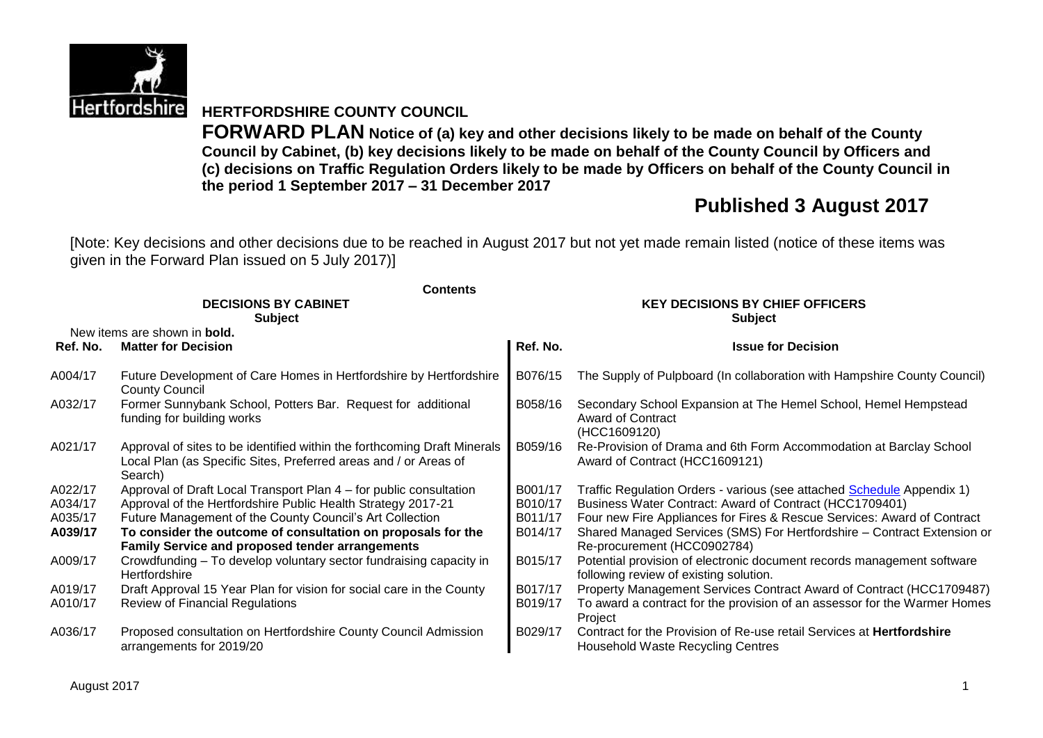

**HERTFORDSHIRE COUNTY COUNCIL**

**FORWARD PLAN Notice of (a) key and other decisions likely to be made on behalf of the County Council by Cabinet, (b) key decisions likely to be made on behalf of the County Council by Officers and (c) decisions on Traffic Regulation Orders likely to be made by Officers on behalf of the County Council in the period 1 September 2017 – 31 December 2017**

# **Published 3 August 2017**

[Note: Key decisions and other decisions due to be reached in August 2017 but not yet made remain listed (notice of these items was given in the Forward Plan issued on 5 July 2017)]

|          | <b>Contents</b>                                                                                                                                         |                                                          |                                                                                                                   |  |  |  |
|----------|---------------------------------------------------------------------------------------------------------------------------------------------------------|----------------------------------------------------------|-------------------------------------------------------------------------------------------------------------------|--|--|--|
|          | <b>DECISIONS BY CABINET</b><br><b>Subject</b>                                                                                                           | <b>KEY DECISIONS BY CHIEF OFFICERS</b><br><b>Subject</b> |                                                                                                                   |  |  |  |
|          | New items are shown in bold.                                                                                                                            |                                                          |                                                                                                                   |  |  |  |
| Ref. No. | <b>Matter for Decision</b>                                                                                                                              | Ref. No.                                                 | <b>Issue for Decision</b>                                                                                         |  |  |  |
| A004/17  | Future Development of Care Homes in Hertfordshire by Hertfordshire<br><b>County Council</b>                                                             | B076/15                                                  | The Supply of Pulpboard (In collaboration with Hampshire County Council)                                          |  |  |  |
| A032/17  | Former Sunnybank School, Potters Bar. Request for additional<br>funding for building works                                                              | B058/16                                                  | Secondary School Expansion at The Hemel School, Hemel Hempstead<br>Award of Contract<br>(HCC1609120)              |  |  |  |
| A021/17  | Approval of sites to be identified within the forthcoming Draft Minerals<br>Local Plan (as Specific Sites, Preferred areas and / or Areas of<br>Search) | B059/16                                                  | Re-Provision of Drama and 6th Form Accommodation at Barclay School<br>Award of Contract (HCC1609121)              |  |  |  |
| A022/17  | Approval of Draft Local Transport Plan 4 – for public consultation                                                                                      | B001/17                                                  | Traffic Regulation Orders - various (see attached Schedule Appendix 1)                                            |  |  |  |
| A034/17  | Approval of the Hertfordshire Public Health Strategy 2017-21                                                                                            | B010/17                                                  | Business Water Contract: Award of Contract (HCC1709401)                                                           |  |  |  |
| A035/17  | Future Management of the County Council's Art Collection                                                                                                | B011/17                                                  | Four new Fire Appliances for Fires & Rescue Services: Award of Contract                                           |  |  |  |
| A039/17  | To consider the outcome of consultation on proposals for the                                                                                            | B014/17                                                  | Shared Managed Services (SMS) For Hertfordshire - Contract Extension or                                           |  |  |  |
|          | <b>Family Service and proposed tender arrangements</b>                                                                                                  |                                                          | Re-procurement (HCC0902784)                                                                                       |  |  |  |
| A009/17  | Crowdfunding – To develop voluntary sector fundraising capacity in<br>Hertfordshire                                                                     | B015/17                                                  | Potential provision of electronic document records management software<br>following review of existing solution.  |  |  |  |
| A019/17  | Draft Approval 15 Year Plan for vision for social care in the County                                                                                    | B017/17                                                  | Property Management Services Contract Award of Contract (HCC1709487)                                              |  |  |  |
| A010/17  | Review of Financial Regulations                                                                                                                         | B019/17                                                  | To award a contract for the provision of an assessor for the Warmer Homes<br>Project                              |  |  |  |
| A036/17  | Proposed consultation on Hertfordshire County Council Admission<br>arrangements for 2019/20                                                             | B029/17                                                  | Contract for the Provision of Re-use retail Services at <b>Hertfordshire</b><br>Household Waste Recycling Centres |  |  |  |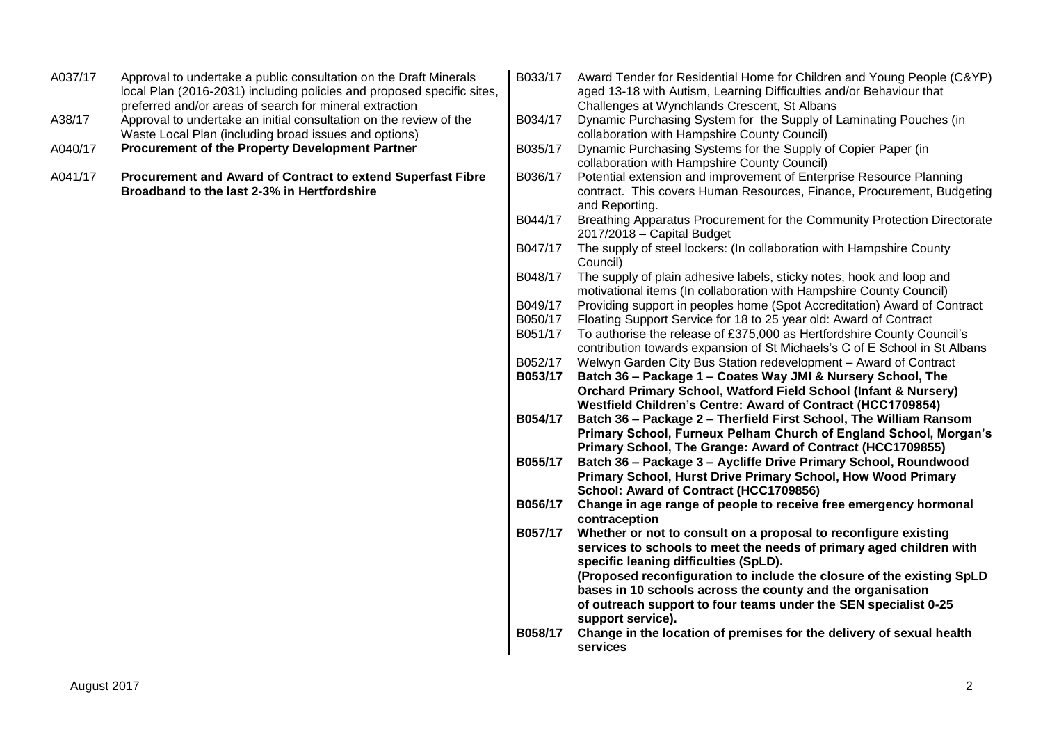| A037/17 | Approval to undertake a public consultation on the Draft Minerals<br>local Plan (2016-2031) including policies and proposed specific sites,<br>preferred and/or areas of search for mineral extraction | B033/17            | Award Tender for Residential Home for Children and Young People (C&YP)<br>aged 13-18 with Autism, Learning Difficulties and/or Behaviour that<br>Challenges at Wynchlands Crescent, St Albans |
|---------|--------------------------------------------------------------------------------------------------------------------------------------------------------------------------------------------------------|--------------------|-----------------------------------------------------------------------------------------------------------------------------------------------------------------------------------------------|
| A38/17  | Approval to undertake an initial consultation on the review of the<br>Waste Local Plan (including broad issues and options)                                                                            | B034/17            | Dynamic Purchasing System for the Supply of Laminating Pouches (in<br>collaboration with Hampshire County Council)                                                                            |
| A040/17 | Procurement of the Property Development Partner                                                                                                                                                        | B035/17            | Dynamic Purchasing Systems for the Supply of Copier Paper (in<br>collaboration with Hampshire County Council)                                                                                 |
| A041/17 | Procurement and Award of Contract to extend Superfast Fibre<br>Broadband to the last 2-3% in Hertfordshire                                                                                             | B036/17            | Potential extension and improvement of Enterprise Resource Planning<br>contract. This covers Human Resources, Finance, Procurement, Budgeting<br>and Reporting.                               |
|         |                                                                                                                                                                                                        | B044/17            | Breathing Apparatus Procurement for the Community Protection Directorate<br>$2017/2018$ - Capital Budget                                                                                      |
|         |                                                                                                                                                                                                        | B047/17            | The supply of steel lockers: (In collaboration with Hampshire County<br>Council)                                                                                                              |
|         |                                                                                                                                                                                                        | B048/17            | The supply of plain adhesive labels, sticky notes, hook and loop and<br>motivational items (In collaboration with Hampshire County Council)                                                   |
|         |                                                                                                                                                                                                        | B049/17            | Providing support in peoples home (Spot Accreditation) Award of Contract                                                                                                                      |
|         |                                                                                                                                                                                                        | B050/17            | Floating Support Service for 18 to 25 year old: Award of Contract                                                                                                                             |
|         |                                                                                                                                                                                                        | B051/17            | To authorise the release of £375,000 as Hertfordshire County Council's                                                                                                                        |
|         |                                                                                                                                                                                                        |                    | contribution towards expansion of St Michaels's C of E School in St Albans                                                                                                                    |
|         |                                                                                                                                                                                                        | B052/17<br>B053/17 | Welwyn Garden City Bus Station redevelopment - Award of Contract                                                                                                                              |
|         |                                                                                                                                                                                                        |                    | Batch 36 - Package 1 - Coates Way JMI & Nursery School, The<br>Orchard Primary School, Watford Field School (Infant & Nursery)                                                                |
|         |                                                                                                                                                                                                        |                    | Westfield Children's Centre: Award of Contract (HCC1709854)                                                                                                                                   |
|         |                                                                                                                                                                                                        | B054/17            | Batch 36 - Package 2 - Therfield First School, The William Ransom                                                                                                                             |
|         |                                                                                                                                                                                                        |                    | Primary School, Furneux Pelham Church of England School, Morgan's<br>Primary School, The Grange: Award of Contract (HCC1709855)                                                               |
|         |                                                                                                                                                                                                        | B055/17            | Batch 36 - Package 3 - Aycliffe Drive Primary School, Roundwood                                                                                                                               |
|         |                                                                                                                                                                                                        |                    | Primary School, Hurst Drive Primary School, How Wood Primary                                                                                                                                  |
|         |                                                                                                                                                                                                        |                    | School: Award of Contract (HCC1709856)                                                                                                                                                        |
|         |                                                                                                                                                                                                        | B056/17            | Change in age range of people to receive free emergency hormonal<br>contraception                                                                                                             |
|         |                                                                                                                                                                                                        | B057/17            | Whether or not to consult on a proposal to reconfigure existing                                                                                                                               |
|         |                                                                                                                                                                                                        |                    | services to schools to meet the needs of primary aged children with                                                                                                                           |
|         |                                                                                                                                                                                                        |                    | specific leaning difficulties (SpLD).                                                                                                                                                         |
|         |                                                                                                                                                                                                        |                    | (Proposed reconfiguration to include the closure of the existing SpLD                                                                                                                         |
|         |                                                                                                                                                                                                        |                    | bases in 10 schools across the county and the organisation                                                                                                                                    |
|         |                                                                                                                                                                                                        |                    | of outreach support to four teams under the SEN specialist 0-25                                                                                                                               |
|         |                                                                                                                                                                                                        |                    | support service).                                                                                                                                                                             |
|         |                                                                                                                                                                                                        | B058/17            | Change in the location of premises for the delivery of sexual health<br>services                                                                                                              |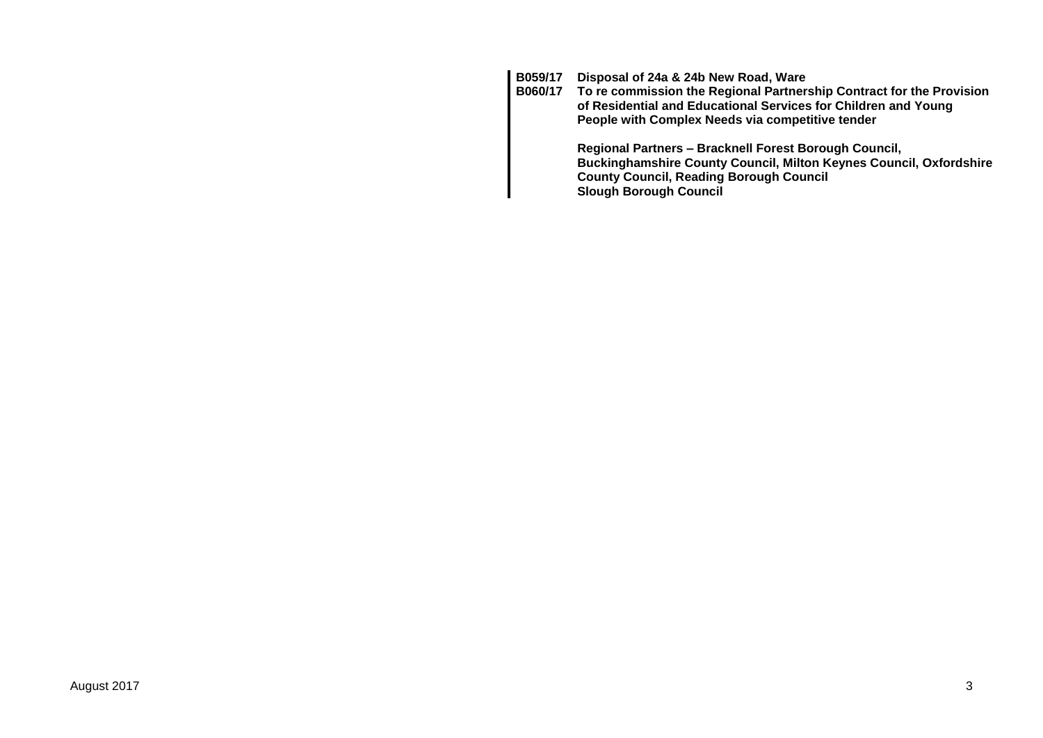**B059/17 Disposal of 24a & 24b New Road, Ware**

**B060/17 To re commission the Regional Partnership Contract for the Provision of Residential and Educational Services for Children and Young People with Complex Needs via competitive tender**

> **Regional Partners – Bracknell Forest Borough Council, Buckinghamshire County Council, Milton Keynes Council, Oxfordshire County Council, Reading Borough Council Slough Borough Council**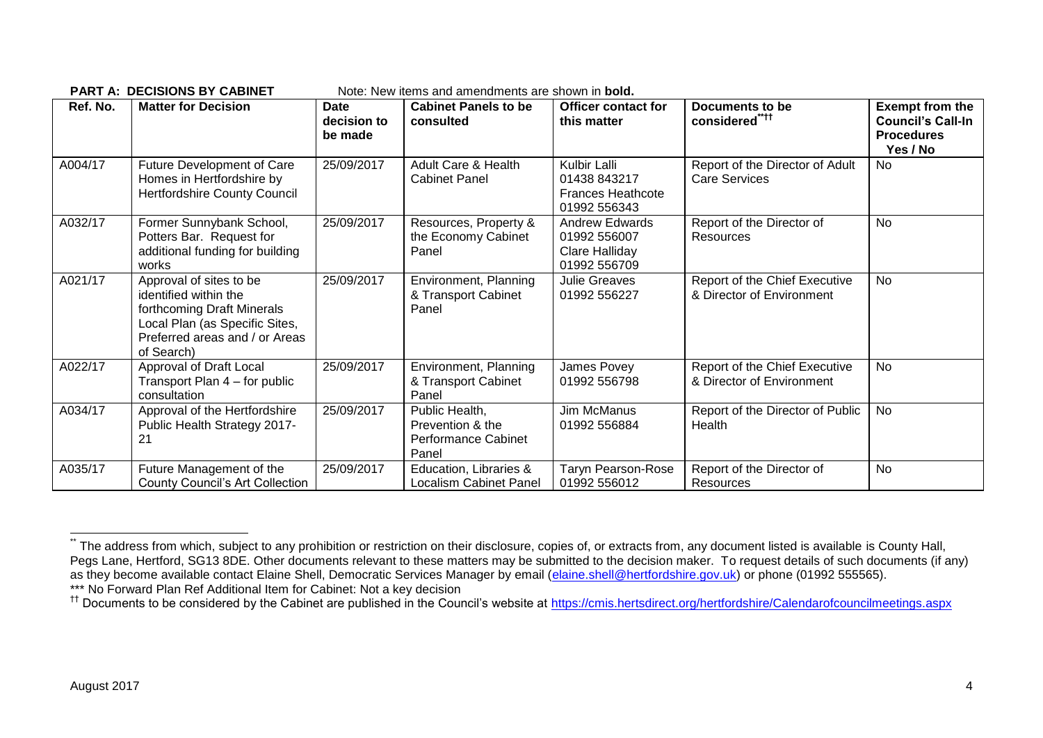|          | FANTA. DECISIONS DT CADINET                                                                                                                                      |                                       | <u>NULC. NEW ILCINS ANU ANICHUMENTS ALE SHUWH IN <b>DUIU.</b></u>  |                                                                          |                                                            |                                                                                     |
|----------|------------------------------------------------------------------------------------------------------------------------------------------------------------------|---------------------------------------|--------------------------------------------------------------------|--------------------------------------------------------------------------|------------------------------------------------------------|-------------------------------------------------------------------------------------|
| Ref. No. | <b>Matter for Decision</b>                                                                                                                                       | <b>Date</b><br>decision to<br>be made | <b>Cabinet Panels to be</b><br>consulted                           | <b>Officer contact for</b><br>this matter                                | <b>Documents to be</b><br>considered <sup>"***</sup>       | <b>Exempt from the</b><br><b>Council's Call-In</b><br><b>Procedures</b><br>Yes / No |
| A004/17  | Future Development of Care<br>Homes in Hertfordshire by<br><b>Hertfordshire County Council</b>                                                                   | 25/09/2017                            | Adult Care & Health<br><b>Cabinet Panel</b>                        | Kulbir Lalli<br>01438 843217<br><b>Frances Heathcote</b><br>01992 556343 | Report of the Director of Adult<br><b>Care Services</b>    | No                                                                                  |
| A032/17  | Former Sunnybank School,<br>Potters Bar. Request for<br>additional funding for building<br>works                                                                 | 25/09/2017                            | Resources, Property &<br>the Economy Cabinet<br>Panel              | <b>Andrew Edwards</b><br>01992 556007<br>Clare Halliday<br>01992 556709  | Report of the Director of<br>Resources                     | No                                                                                  |
| A021/17  | Approval of sites to be<br>identified within the<br>forthcoming Draft Minerals<br>Local Plan (as Specific Sites,<br>Preferred areas and / or Areas<br>of Search) | 25/09/2017                            | Environment, Planning<br>& Transport Cabinet<br>Panel              | <b>Julie Greaves</b><br>01992 556227                                     | Report of the Chief Executive<br>& Director of Environment | No                                                                                  |
| A022/17  | Approval of Draft Local<br>Transport Plan 4 – for public<br>consultation                                                                                         | 25/09/2017                            | Environment, Planning<br>& Transport Cabinet<br>Panel              | James Povey<br>01992 556798                                              | Report of the Chief Executive<br>& Director of Environment | No                                                                                  |
| A034/17  | Approval of the Hertfordshire<br>Public Health Strategy 2017-<br>21                                                                                              | 25/09/2017                            | Public Health,<br>Prevention & the<br>Performance Cabinet<br>Panel | Jim McManus<br>01992 556884                                              | Report of the Director of Public<br>Health                 | <b>No</b>                                                                           |
| A035/17  | Future Management of the<br><b>County Council's Art Collection</b>                                                                                               | 25/09/2017                            | Education, Libraries &<br>Localism Cabinet Panel                   | <b>Taryn Pearson-Rose</b><br>01992 556012                                | Report of the Director of<br>Resources                     | <b>No</b>                                                                           |

**PART A: DECISIONS BY CABINET** Note: New items and amendments are shown in **bold.**

1

The address from which, subject to any prohibition or restriction on their disclosure, copies of, or extracts from, any document listed is available is County Hall, Pegs Lane, Hertford, SG13 8DE. Other documents relevant to these matters may be submitted to the decision maker. To request details of such documents (if any) as they become available contact Elaine Shell, Democratic Services Manager by email [\(elaine.shell@hertfordshire.gov.uk\)](mailto:elaine.shell@hertfordshire.gov.uk) or phone (01992 555565). \*\*\* No Forward Plan Ref Additional Item for Cabinet: Not a key decision

<sup>&</sup>lt;sup>††</sup> Documents to be considered by the Cabinet are published in the Council's website at<https://cmis.hertsdirect.org/hertfordshire/Calendarofcouncilmeetings.aspx>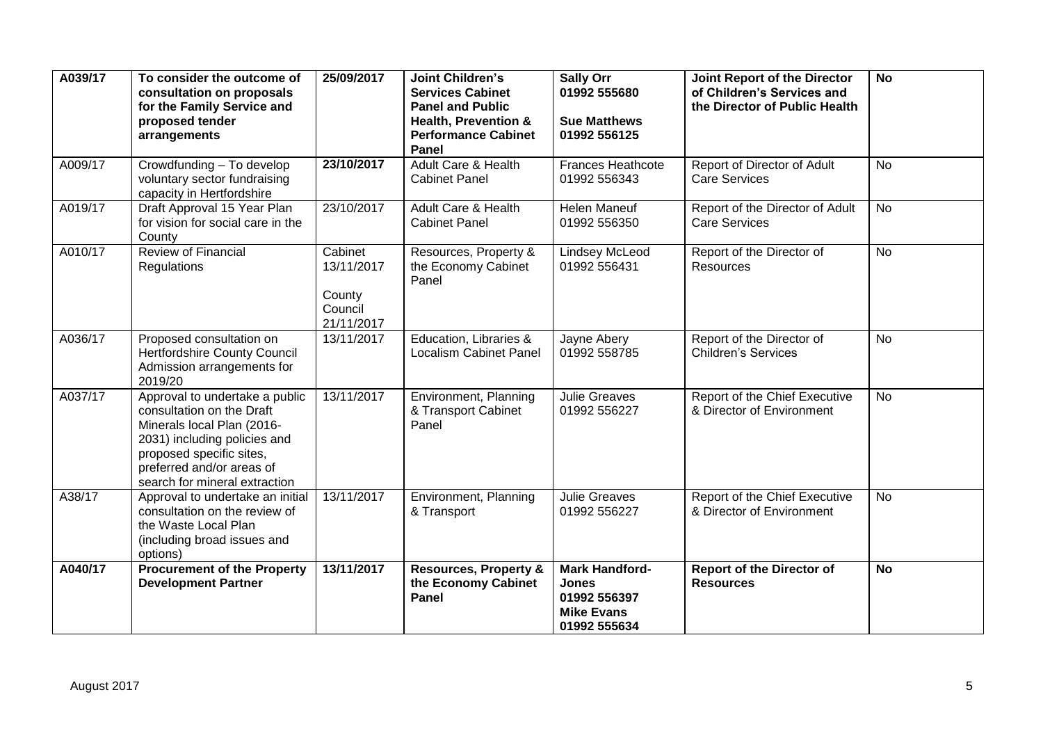| A039/17 | To consider the outcome of<br>consultation on proposals<br>for the Family Service and<br>proposed tender<br>arrangements                                                                                            | 25/09/2017                                               | <b>Joint Children's</b><br><b>Services Cabinet</b><br><b>Panel and Public</b><br><b>Health, Prevention &amp;</b><br><b>Performance Cabinet</b><br><b>Panel</b> | <b>Sally Orr</b><br>01992 555680<br><b>Sue Matthews</b><br>01992 556125                    | Joint Report of the Director<br>of Children's Services and<br>the Director of Public Health | <b>No</b> |
|---------|---------------------------------------------------------------------------------------------------------------------------------------------------------------------------------------------------------------------|----------------------------------------------------------|----------------------------------------------------------------------------------------------------------------------------------------------------------------|--------------------------------------------------------------------------------------------|---------------------------------------------------------------------------------------------|-----------|
| A009/17 | Crowdfunding - To develop<br>voluntary sector fundraising<br>capacity in Hertfordshire                                                                                                                              | 23/10/2017                                               | <b>Adult Care &amp; Health</b><br><b>Cabinet Panel</b>                                                                                                         | <b>Frances Heathcote</b><br>01992 556343                                                   | Report of Director of Adult<br><b>Care Services</b>                                         | <b>No</b> |
| A019/17 | Draft Approval 15 Year Plan<br>for vision for social care in the<br>County                                                                                                                                          | 23/10/2017                                               | Adult Care & Health<br><b>Cabinet Panel</b>                                                                                                                    | Helen Maneuf<br>01992 556350                                                               | Report of the Director of Adult<br><b>Care Services</b>                                     | No        |
| A010/17 | <b>Review of Financial</b><br>Regulations                                                                                                                                                                           | Cabinet<br>13/11/2017<br>County<br>Council<br>21/11/2017 | Resources, Property &<br>the Economy Cabinet<br>Panel                                                                                                          | <b>Lindsey McLeod</b><br>01992 556431                                                      | Report of the Director of<br>Resources                                                      | <b>No</b> |
| A036/17 | Proposed consultation on<br><b>Hertfordshire County Council</b><br>Admission arrangements for<br>2019/20                                                                                                            | 13/11/2017                                               | Education, Libraries &<br><b>Localism Cabinet Panel</b>                                                                                                        | Jayne Abery<br>01992 558785                                                                | Report of the Director of<br><b>Children's Services</b>                                     | <b>No</b> |
| A037/17 | Approval to undertake a public<br>consultation on the Draft<br>Minerals local Plan (2016-<br>2031) including policies and<br>proposed specific sites,<br>preferred and/or areas of<br>search for mineral extraction | 13/11/2017                                               | Environment, Planning<br>& Transport Cabinet<br>Panel                                                                                                          | <b>Julie Greaves</b><br>01992 556227                                                       | Report of the Chief Executive<br>& Director of Environment                                  | No        |
| A38/17  | Approval to undertake an initial<br>consultation on the review of<br>the Waste Local Plan<br>(including broad issues and<br>options)                                                                                | 13/11/2017                                               | Environment, Planning<br>& Transport                                                                                                                           | <b>Julie Greaves</b><br>01992 556227                                                       | Report of the Chief Executive<br>& Director of Environment                                  | <b>No</b> |
| A040/17 | <b>Procurement of the Property</b><br><b>Development Partner</b>                                                                                                                                                    | 13/11/2017                                               | <b>Resources, Property &amp;</b><br>the Economy Cabinet<br><b>Panel</b>                                                                                        | <b>Mark Handford-</b><br><b>Jones</b><br>01992 556397<br><b>Mike Evans</b><br>01992 555634 | <b>Report of the Director of</b><br><b>Resources</b>                                        | <b>No</b> |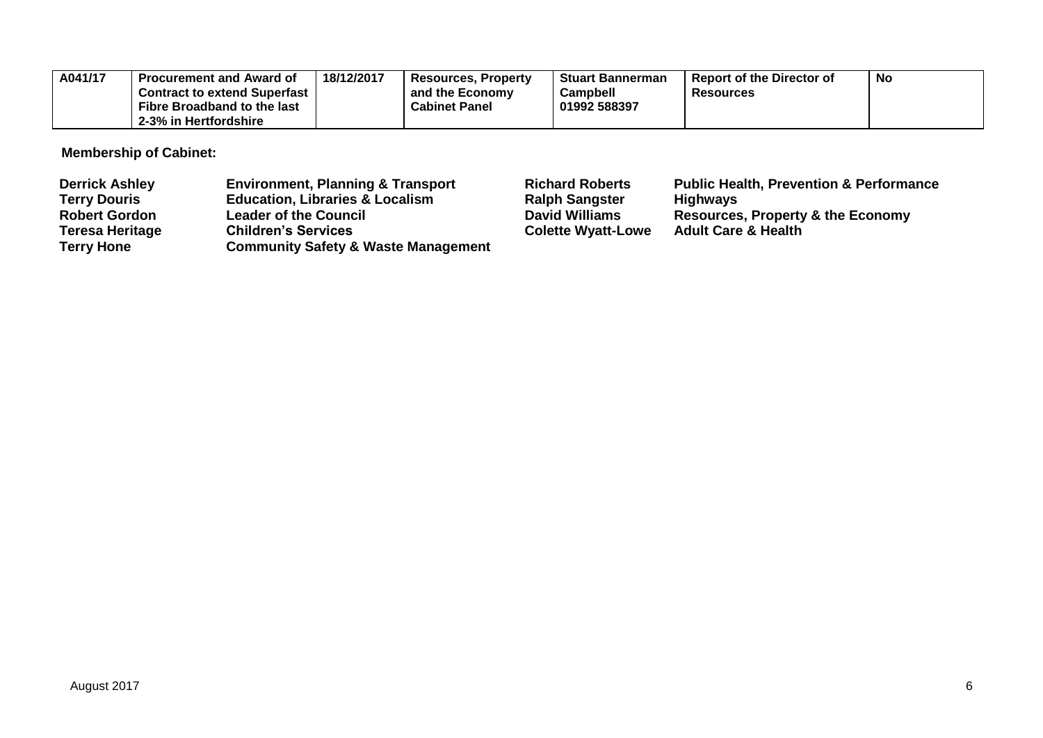| A041/17 | <b>Procurement and Award of</b>     | 18/12/2017 | <b>Resources, Property</b> | <b>Stuart Bannerman</b> | ' Report of the Director of | <b>No</b> |
|---------|-------------------------------------|------------|----------------------------|-------------------------|-----------------------------|-----------|
|         | <b>Contract to extend Superfast</b> |            | and the Economy            | Campbell                | <b>Resources</b>            |           |
|         | Fibre Broadband to the last         |            | <b>Cabinet Panel</b>       | 01992 588397            |                             |           |
|         | 2-3% in Hertfordshire               |            |                            |                         |                             |           |

**Membership of Cabinet:** 

| <b>Derrick Ashley</b>  | <b>Environment, Planning &amp; Transport</b>   | <b>Richard Roberts</b>    | <b>Public Health, Prevention &amp; Performance</b> |
|------------------------|------------------------------------------------|---------------------------|----------------------------------------------------|
| <b>Terry Douris</b>    | <b>Education, Libraries &amp; Localism</b>     | <b>Ralph Sangster</b>     | <b>Highways</b>                                    |
| <b>Robert Gordon</b>   | <b>Leader of the Council</b>                   | <b>David Williams</b>     | <b>Resources, Property &amp; the Economy</b>       |
| <b>Teresa Heritage</b> | <b>Children's Services</b>                     | <b>Colette Wyatt-Lowe</b> | <b>Adult Care &amp; Health</b>                     |
| <b>Terry Hone</b>      | <b>Community Safety &amp; Waste Management</b> |                           |                                                    |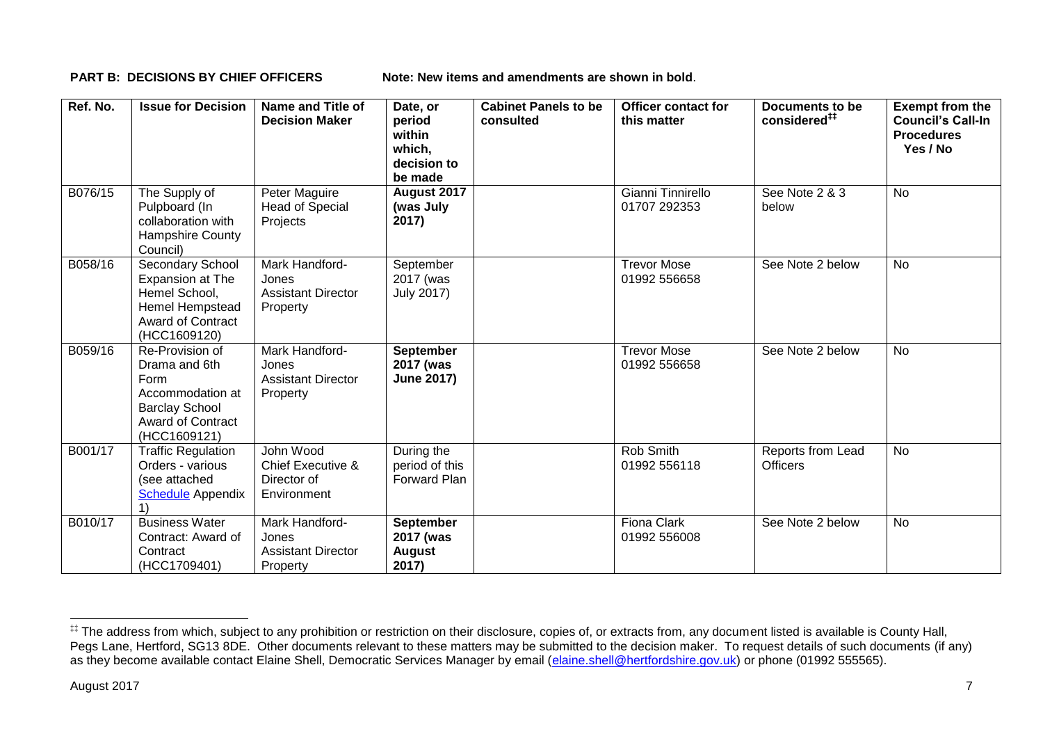**PART B: DECISIONS BY CHIEF OFFICERS Note: New items and amendments are shown in bold.** 

| Ref. No. | <b>Issue for Decision</b>                                                                                                         | Name and Title of<br><b>Decision Maker</b>                              | Date, or<br>period<br>within<br>which,<br>decision to<br>be made | <b>Cabinet Panels to be</b><br>consulted | <b>Officer contact for</b><br>this matter | Documents to be<br>considered <sup>##</sup> | <b>Exempt from the</b><br><b>Council's Call-In</b><br><b>Procedures</b><br>Yes / No |
|----------|-----------------------------------------------------------------------------------------------------------------------------------|-------------------------------------------------------------------------|------------------------------------------------------------------|------------------------------------------|-------------------------------------------|---------------------------------------------|-------------------------------------------------------------------------------------|
| B076/15  | The Supply of<br>Pulpboard (In<br>collaboration with<br>Hampshire County<br>Council)                                              | Peter Maguire<br>Head of Special<br>Projects                            | August 2017<br>(was July<br>2017)                                |                                          | Gianni Tinnirello<br>01707 292353         | See Note 2 & 3<br>below                     | <b>No</b>                                                                           |
| B058/16  | Secondary School<br>Expansion at The<br>Hemel School,<br>Hemel Hempstead<br><b>Award of Contract</b><br>(HCC1609120)              | Mark Handford-<br>Jones<br><b>Assistant Director</b><br>Property        | September<br>2017 (was<br><b>July 2017)</b>                      |                                          | <b>Trevor Mose</b><br>01992 556658        | See Note 2 below                            | <b>No</b>                                                                           |
| B059/16  | Re-Provision of<br>Drama and 6th<br>Form<br>Accommodation at<br><b>Barclay School</b><br><b>Award of Contract</b><br>(HCC1609121) | Mark Handford-<br>Jones<br><b>Assistant Director</b><br>Property        | <b>September</b><br>2017 (was<br><b>June 2017)</b>               |                                          | <b>Trevor Mose</b><br>01992 556658        | See Note 2 below                            | <b>No</b>                                                                           |
| B001/17  | <b>Traffic Regulation</b><br>Orders - various<br>(see attached<br><b>Schedule Appendix</b>                                        | John Wood<br><b>Chief Executive &amp;</b><br>Director of<br>Environment | During the<br>period of this<br>Forward Plan                     |                                          | Rob Smith<br>01992 556118                 | Reports from Lead<br><b>Officers</b>        | <b>No</b>                                                                           |
| B010/17  | <b>Business Water</b><br>Contract: Award of<br>Contract<br>(HCC1709401)                                                           | Mark Handford-<br>Jones<br><b>Assistant Director</b><br>Property        | <b>September</b><br>2017 (was<br>August<br>2017)                 |                                          | <b>Fiona Clark</b><br>01992 556008        | See Note 2 below                            | No                                                                                  |

1

<sup>‡‡</sup> The address from which, subject to any prohibition or restriction on their disclosure, copies of, or extracts from, any document listed is available is County Hall, Pegs Lane, Hertford, SG13 8DE. Other documents relevant to these matters may be submitted to the decision maker. To request details of such documents (if any) as they become available contact Elaine Shell, Democratic Services Manager by email [\(elaine.shell@hertfordshire.gov.uk\)](mailto:elaine.shell@hertfordshire.gov.uk) or phone (01992 55565).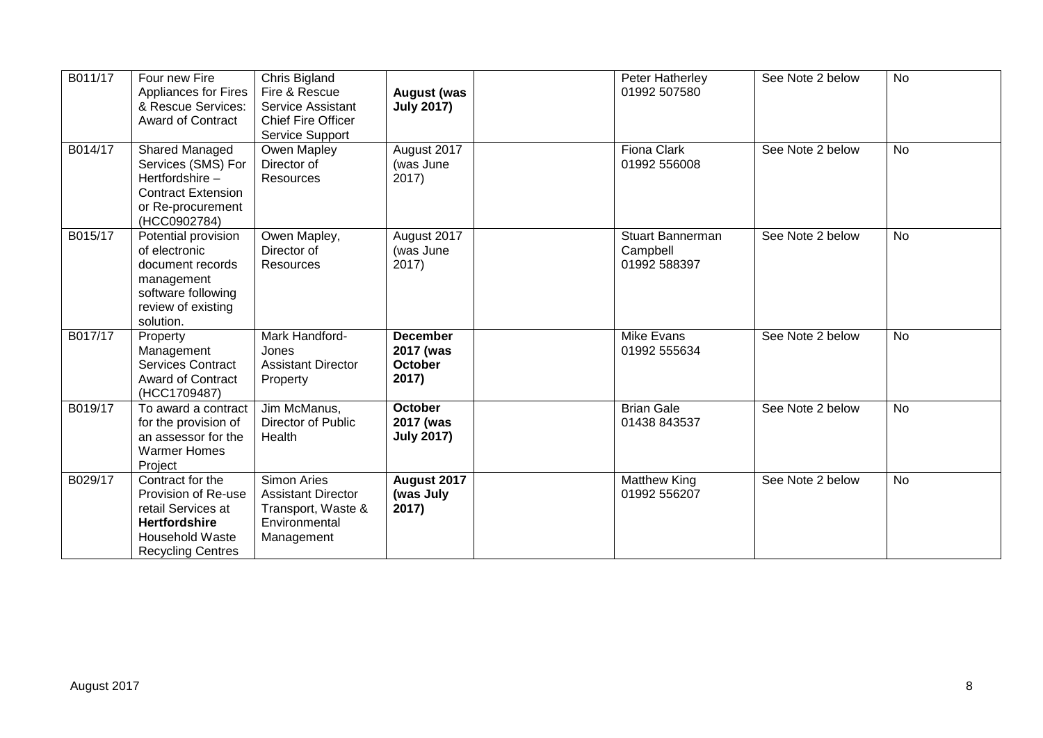| B011/17 | Four new Fire<br><b>Appliances for Fires</b><br>& Rescue Services:<br><b>Award of Contract</b>                                              | Chris Bigland<br>Fire & Rescue<br>Service Assistant<br><b>Chief Fire Officer</b><br>Service Support  | <b>August (was</b><br><b>July 2017)</b>                 | Peter Hatherley<br>01992 507580                     | See Note 2 below | <b>No</b> |
|---------|---------------------------------------------------------------------------------------------------------------------------------------------|------------------------------------------------------------------------------------------------------|---------------------------------------------------------|-----------------------------------------------------|------------------|-----------|
| B014/17 | Shared Managed<br>Services (SMS) For<br>Hertfordshire-<br><b>Contract Extension</b><br>or Re-procurement<br>(HCC0902784)                    | Owen Mapley<br>Director of<br><b>Resources</b>                                                       | August 2017<br>(was June<br>2017)                       | Fiona Clark<br>01992 556008                         | See Note 2 below | <b>No</b> |
| B015/17 | Potential provision<br>of electronic<br>document records<br>management<br>software following<br>review of existing<br>solution.             | Owen Mapley,<br>Director of<br><b>Resources</b>                                                      | August 2017<br>(was June<br>2017)                       | <b>Stuart Bannerman</b><br>Campbell<br>01992 588397 | See Note 2 below | <b>No</b> |
| B017/17 | Property<br>Management<br><b>Services Contract</b><br><b>Award of Contract</b><br>(HCC1709487)                                              | Mark Handford-<br>Jones<br><b>Assistant Director</b><br>Property                                     | <b>December</b><br>2017 (was<br><b>October</b><br>2017) | <b>Mike Evans</b><br>01992 555634                   | See Note 2 below | <b>No</b> |
| B019/17 | To award a contract<br>for the provision of<br>an assessor for the<br><b>Warmer Homes</b><br>Project                                        | Jim McManus,<br>Director of Public<br>Health                                                         | <b>October</b><br>2017 (was<br><b>July 2017)</b>        | <b>Brian Gale</b><br>01438 843537                   | See Note 2 below | <b>No</b> |
| B029/17 | Contract for the<br>Provision of Re-use<br>retail Services at<br><b>Hertfordshire</b><br><b>Household Waste</b><br><b>Recycling Centres</b> | <b>Simon Aries</b><br><b>Assistant Director</b><br>Transport, Waste &<br>Environmental<br>Management | August 2017<br>(was July<br>2017)                       | <b>Matthew King</b><br>01992 556207                 | See Note 2 below | <b>No</b> |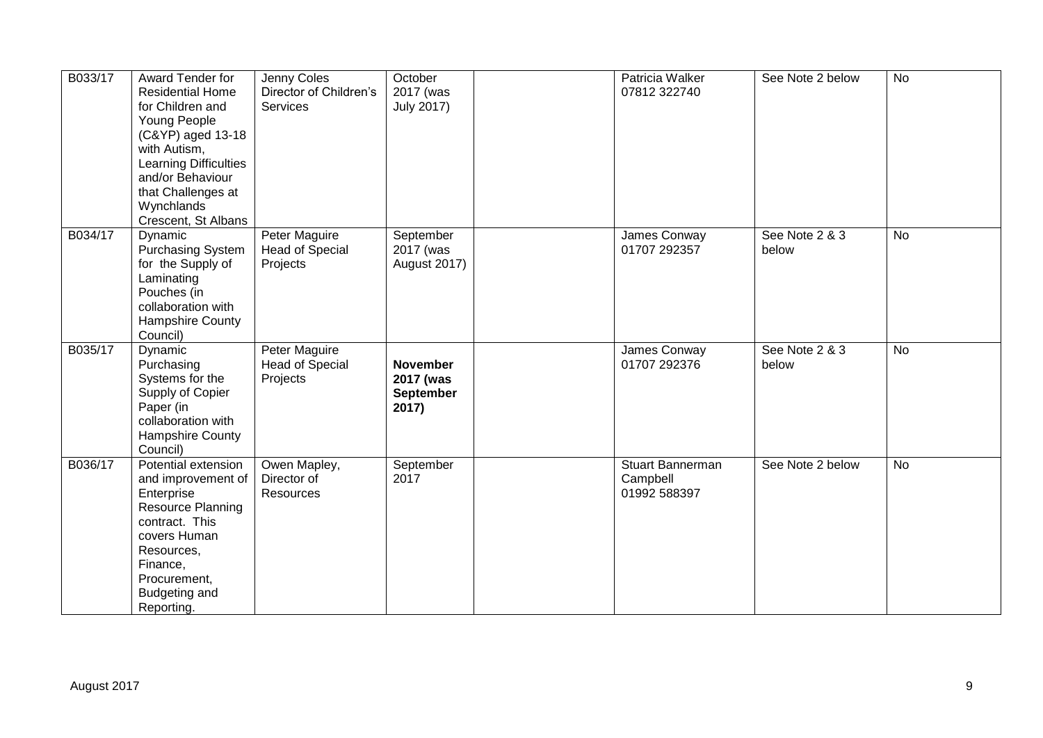| B033/17 | Award Tender for<br><b>Residential Home</b><br>for Children and<br>Young People<br>(C&YP) aged 13-18<br>with Autism,<br>Learning Difficulties<br>and/or Behaviour<br>that Challenges at<br>Wynchlands<br>Crescent, St Albans | Jenny Coles<br>Director of Children's<br>Services          | October<br>2017 (was<br><b>July 2017)</b>                 | Patricia Walker<br>07812 322740              | See Note 2 below        | <b>No</b>      |
|---------|------------------------------------------------------------------------------------------------------------------------------------------------------------------------------------------------------------------------------|------------------------------------------------------------|-----------------------------------------------------------|----------------------------------------------|-------------------------|----------------|
| B034/17 | Dynamic<br>Purchasing System<br>for the Supply of<br>Laminating<br>Pouches (in<br>collaboration with<br>Hampshire County<br>Council)                                                                                         | Peter Maguire<br><b>Head of Special</b><br>Projects        | September<br>2017 (was<br><b>August 2017)</b>             | James Conway<br>01707 292357                 | See Note 2 & 3<br>below | No             |
| B035/17 | Dynamic<br>Purchasing<br>Systems for the<br>Supply of Copier<br>Paper (in<br>collaboration with<br>Hampshire County<br>Council)                                                                                              | <b>Peter Maguire</b><br><b>Head of Special</b><br>Projects | <b>November</b><br>2017 (was<br><b>September</b><br>2017) | James Conway<br>01707 292376                 | See Note 2 & 3<br>below | $\overline{N}$ |
| B036/17 | Potential extension<br>and improvement of<br>Enterprise<br><b>Resource Planning</b><br>contract. This<br>covers Human<br>Resources,<br>Finance,<br>Procurement,<br>Budgeting and<br>Reporting.                               | Owen Mapley,<br>Director of<br><b>Resources</b>            | September<br>2017                                         | Stuart Bannerman<br>Campbell<br>01992 588397 | See Note 2 below        | No             |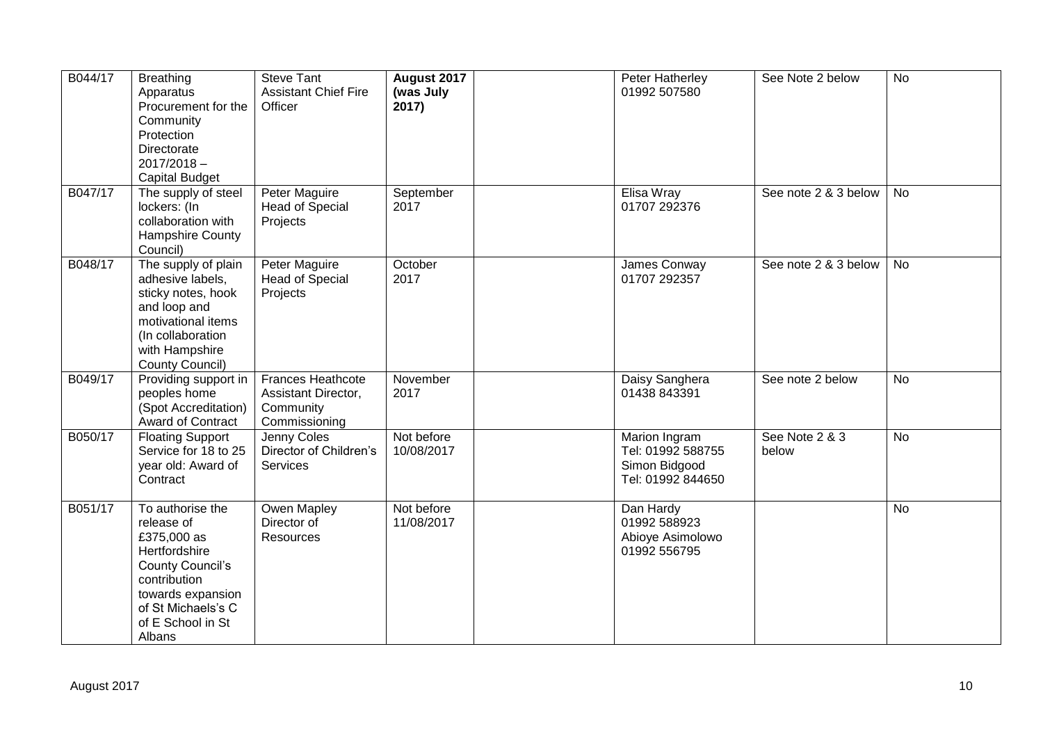| B044/17 | <b>Breathing</b><br>Apparatus<br>Procurement for the<br>Community<br>Protection<br>Directorate<br>$2017/2018 -$<br><b>Capital Budget</b>                                            | <b>Steve Tant</b><br><b>Assistant Chief Fire</b><br>Officer                   | August 2017<br>(was July<br>2017) | Peter Hatherley<br>01992 507580                                          | See Note 2 below        | <b>No</b> |
|---------|-------------------------------------------------------------------------------------------------------------------------------------------------------------------------------------|-------------------------------------------------------------------------------|-----------------------------------|--------------------------------------------------------------------------|-------------------------|-----------|
| B047/17 | The supply of steel<br>lockers: (In<br>collaboration with<br>Hampshire County<br>Council)                                                                                           | <b>Peter Maguire</b><br><b>Head of Special</b><br>Projects                    | September<br>2017                 | Elisa Wray<br>01707 292376                                               | See note 2 & 3 below    | <b>No</b> |
| B048/17 | The supply of plain<br>adhesive labels,<br>sticky notes, hook<br>and loop and<br>motivational items<br>(In collaboration<br>with Hampshire<br>County Council)                       | Peter Maguire<br><b>Head of Special</b><br>Projects                           | October<br>2017                   | James Conway<br>01707 292357                                             | See note 2 & 3 below    | No        |
| B049/17 | Providing support in<br>peoples home<br>(Spot Accreditation)<br><b>Award of Contract</b>                                                                                            | <b>Frances Heathcote</b><br>Assistant Director,<br>Community<br>Commissioning | November<br>2017                  | Daisy Sanghera<br>01438 843391                                           | See note 2 below        | <b>No</b> |
| B050/17 | <b>Floating Support</b><br>Service for 18 to 25<br>year old: Award of<br>Contract                                                                                                   | Jenny Coles<br>Director of Children's<br>Services                             | Not before<br>10/08/2017          | Marion Ingram<br>Tel: 01992 588755<br>Simon Bidgood<br>Tel: 01992 844650 | See Note 2 & 3<br>below | <b>No</b> |
| B051/17 | To authorise the<br>release of<br>£375,000 as<br>Hertfordshire<br><b>County Council's</b><br>contribution<br>towards expansion<br>of St Michaels's C<br>of E School in St<br>Albans | Owen Mapley<br>Director of<br>Resources                                       | Not before<br>11/08/2017          | Dan Hardy<br>01992 588923<br>Abioye Asimolowo<br>01992 556795            |                         | <b>No</b> |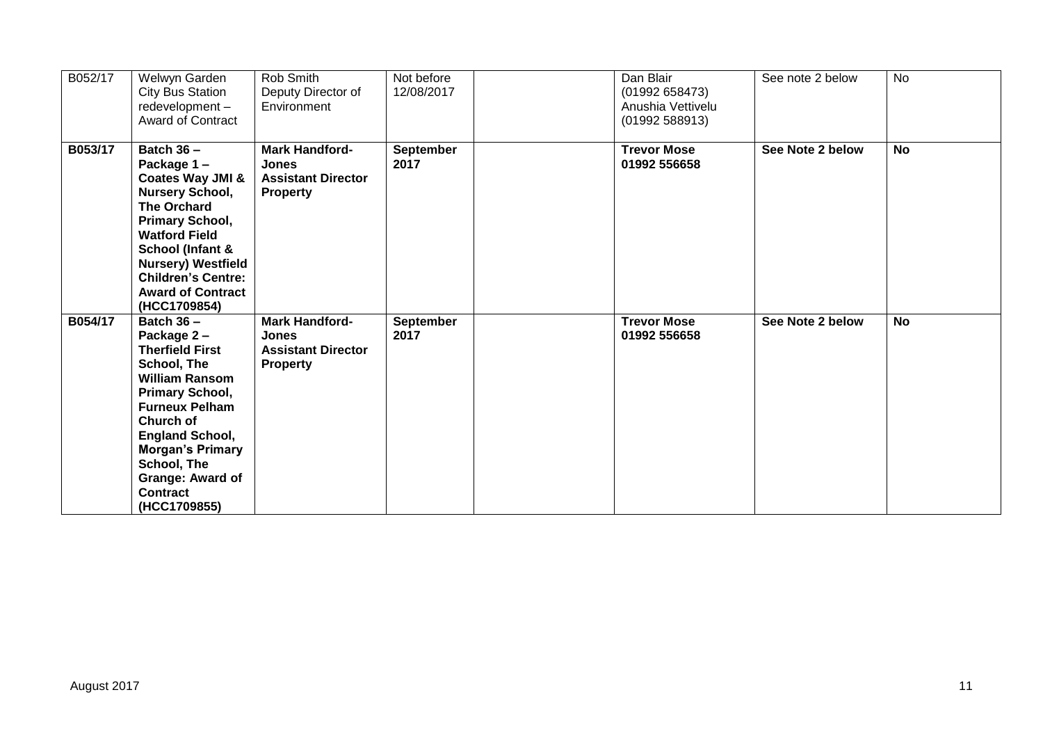| B052/17 | Welwyn Garden<br>City Bus Station<br>redevelopment-<br><b>Award of Contract</b>                                                                                                                                                                                                  | Rob Smith<br>Deputy Director of<br>Environment                                        | Not before<br>12/08/2017 | Dan Blair<br>(01992 658473)<br>Anushia Vettivelu<br>(01992 588913) | See note 2 below | <b>No</b> |
|---------|----------------------------------------------------------------------------------------------------------------------------------------------------------------------------------------------------------------------------------------------------------------------------------|---------------------------------------------------------------------------------------|--------------------------|--------------------------------------------------------------------|------------------|-----------|
| B053/17 | Batch $36 -$<br>Package 1-<br>Coates Way JMI &<br><b>Nursery School,</b><br><b>The Orchard</b><br>Primary School,<br><b>Watford Field</b><br>School (Infant &<br><b>Nursery) Westfield</b><br><b>Children's Centre:</b><br><b>Award of Contract</b><br>(HCC1709854)              | <b>Mark Handford-</b><br>Jones<br><b>Assistant Director</b><br><b>Property</b>        | September<br>2017        | <b>Trevor Mose</b><br>01992 556658                                 | See Note 2 below | <b>No</b> |
| B054/17 | Batch $36 -$<br>Package 2-<br><b>Therfield First</b><br>School, The<br><b>William Ransom</b><br>Primary School,<br><b>Furneux Pelham</b><br>Church of<br><b>England School,</b><br><b>Morgan's Primary</b><br>School, The<br>Grange: Award of<br><b>Contract</b><br>(HCC1709855) | <b>Mark Handford-</b><br><b>Jones</b><br><b>Assistant Director</b><br><b>Property</b> | September<br>2017        | <b>Trevor Mose</b><br>01992 556658                                 | See Note 2 below | <b>No</b> |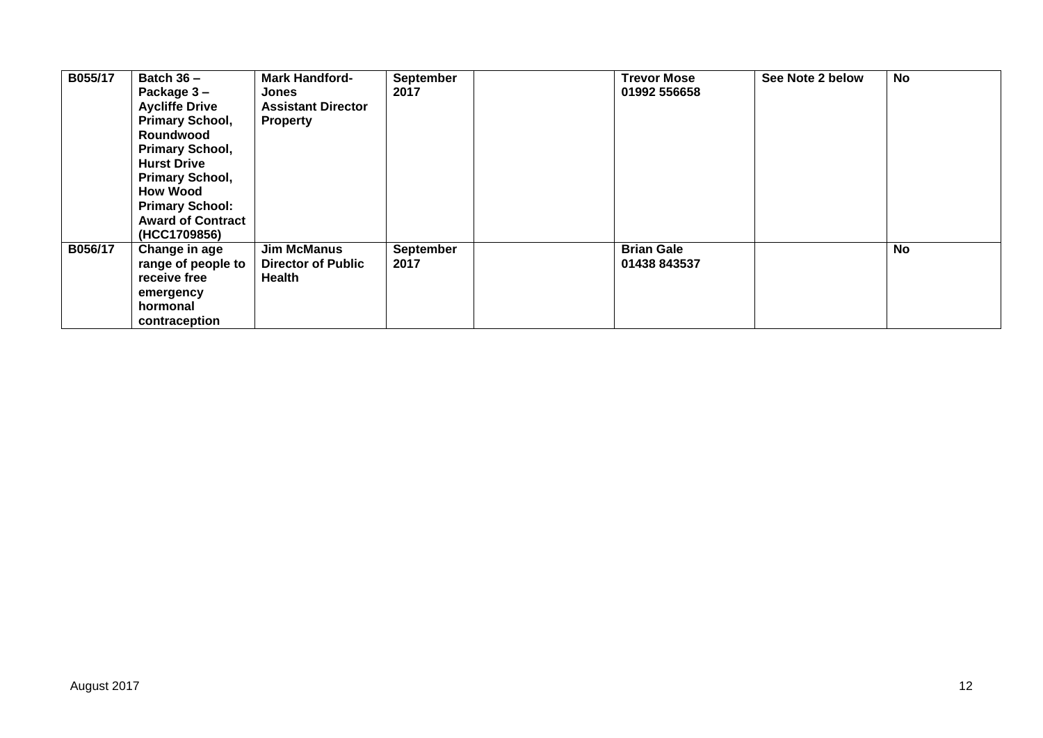| B055/17 | Batch $36 -$<br>Package 3-<br><b>Aycliffe Drive</b><br>Primary School,<br>Roundwood<br>Primary School,<br><b>Hurst Drive</b><br>Primary School,<br><b>How Wood</b><br><b>Primary School:</b><br><b>Award of Contract</b><br>(HCC1709856) | <b>Mark Handford-</b><br>Jones<br><b>Assistant Director</b><br><b>Property</b> | <b>September</b><br>2017 | <b>Trevor Mose</b><br>01992 556658 | See Note 2 below | No |
|---------|------------------------------------------------------------------------------------------------------------------------------------------------------------------------------------------------------------------------------------------|--------------------------------------------------------------------------------|--------------------------|------------------------------------|------------------|----|
| B056/17 | Change in age<br>range of people to<br>receive free<br>emergency<br>hormonal<br>contraception                                                                                                                                            | <b>Jim McManus</b><br><b>Director of Public</b><br>Health                      | <b>September</b><br>2017 | <b>Brian Gale</b><br>01438 843537  |                  | No |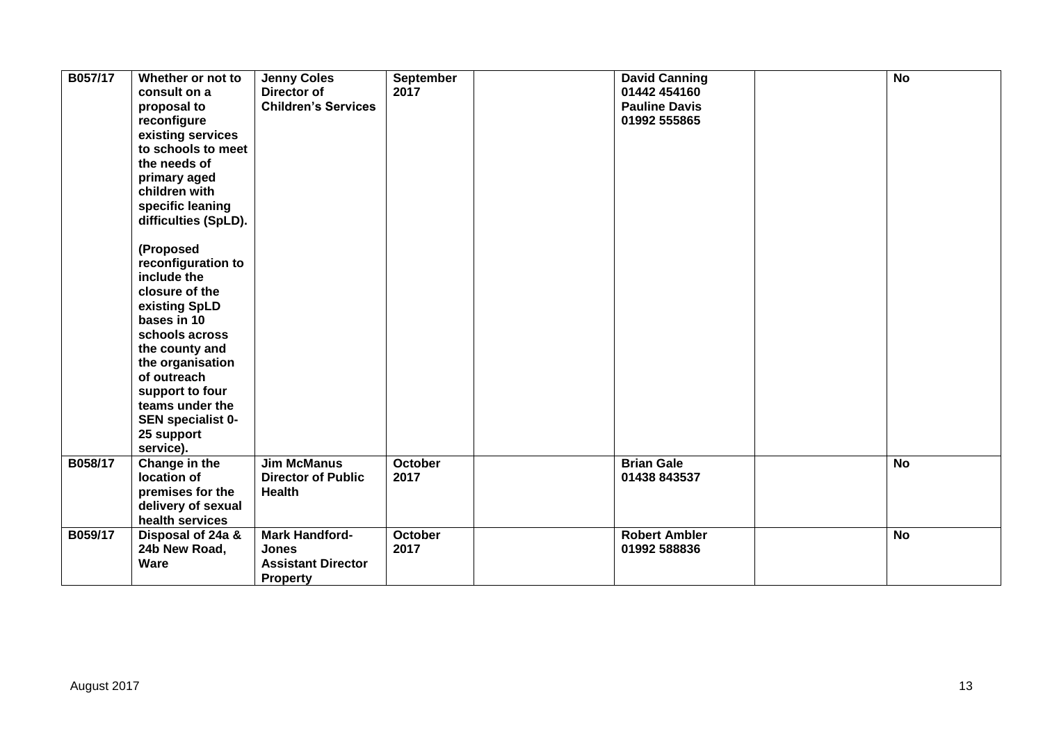| B057/17 | Whether or not to<br>consult on a<br>proposal to<br>reconfigure<br>existing services<br>to schools to meet<br>the needs of<br>primary aged<br>children with<br>specific leaning<br>difficulties (SpLD).<br>(Proposed<br>reconfiguration to<br>include the<br>closure of the<br>existing SpLD<br>bases in 10<br>schools across<br>the county and<br>the organisation<br>of outreach<br>support to four<br>teams under the<br>SEN specialist 0-<br>25 support<br>service). | <b>Jenny Coles</b><br>Director of<br><b>Children's Services</b>                | <b>September</b><br>2017 | <b>David Canning</b><br>01442 454160<br><b>Pauline Davis</b><br>01992 555865 | $\overline{N}$ |
|---------|--------------------------------------------------------------------------------------------------------------------------------------------------------------------------------------------------------------------------------------------------------------------------------------------------------------------------------------------------------------------------------------------------------------------------------------------------------------------------|--------------------------------------------------------------------------------|--------------------------|------------------------------------------------------------------------------|----------------|
| B058/17 | Change in the<br>location of<br>premises for the<br>delivery of sexual<br>health services                                                                                                                                                                                                                                                                                                                                                                                | <b>Jim McManus</b><br><b>Director of Public</b><br><b>Health</b>               | <b>October</b><br>2017   | <b>Brian Gale</b><br>01438 843537                                            | <b>No</b>      |
| B059/17 | Disposal of 24a &<br>24b New Road,<br><b>Ware</b>                                                                                                                                                                                                                                                                                                                                                                                                                        | <b>Mark Handford-</b><br>Jones<br><b>Assistant Director</b><br><b>Property</b> | <b>October</b><br>2017   | <b>Robert Ambler</b><br>01992 588836                                         | <b>No</b>      |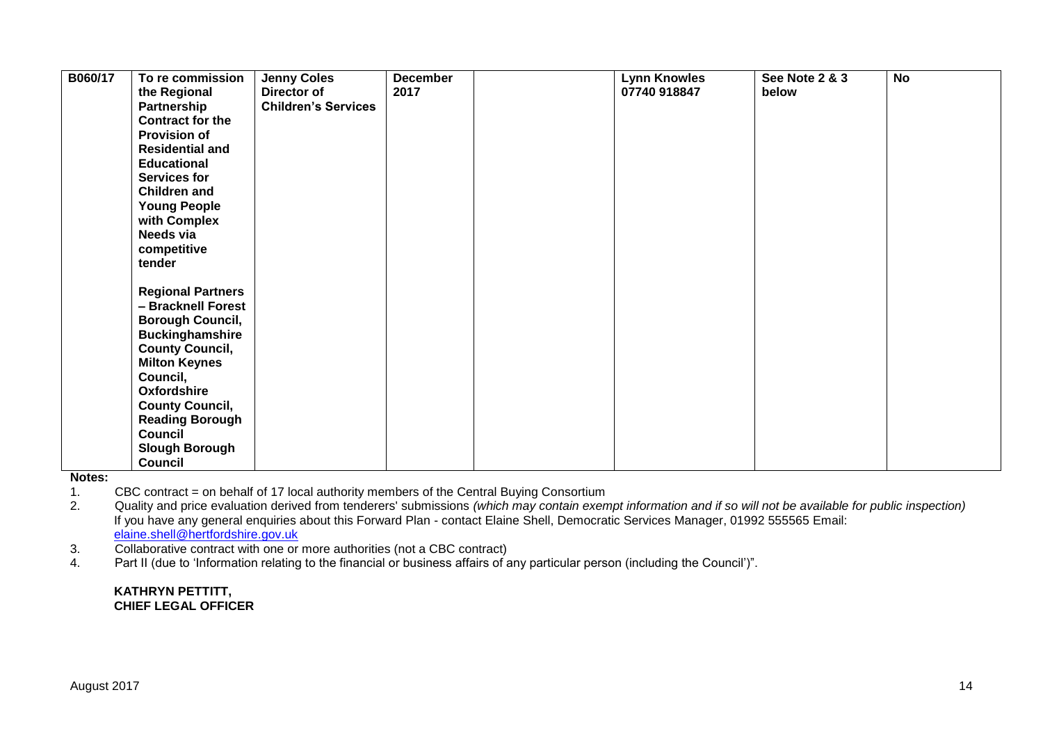| B060/17 | To re commission<br>the Regional<br>Partnership<br><b>Contract for the</b><br><b>Provision of</b><br><b>Residential and</b><br><b>Educational</b><br><b>Services for</b><br><b>Children and</b><br><b>Young People</b><br>with Complex<br>Needs via<br>competitive<br>tender                             | <b>Jenny Coles</b><br>Director of<br><b>Children's Services</b> | <b>December</b><br>2017 | <b>Lynn Knowles</b><br>07740 918847 | See Note 2 & 3<br>below | <b>No</b> |
|---------|----------------------------------------------------------------------------------------------------------------------------------------------------------------------------------------------------------------------------------------------------------------------------------------------------------|-----------------------------------------------------------------|-------------------------|-------------------------------------|-------------------------|-----------|
|         | <b>Regional Partners</b><br>- Bracknell Forest<br><b>Borough Council,</b><br><b>Buckinghamshire</b><br><b>County Council,</b><br><b>Milton Keynes</b><br>Council,<br><b>Oxfordshire</b><br><b>County Council,</b><br><b>Reading Borough</b><br><b>Council</b><br><b>Slough Borough</b><br><b>Council</b> |                                                                 |                         |                                     |                         |           |

**Notes:**  1. CBC contract = on behalf of 17 local authority members of the Central Buying Consortium

2. Quality and price evaluation derived from tenderers' submissions *(which may contain exempt information and if so will not be available for public inspection)* If you have any general enquiries about this Forward Plan - contact Elaine Shell, Democratic Services Manager, 01992 555565 Email: [elaine.shell@hertfordshire.gov.uk](mailto:elaine.shell@hertfordshire.gov.uk) 

3. Collaborative contract with one or more authorities (not a CBC contract)

4. Part II (due to 'Information relating to the financial or business affairs of any particular person (including the Council')".

#### **KATHRYN PETTITT, CHIEF LEGAL OFFICER**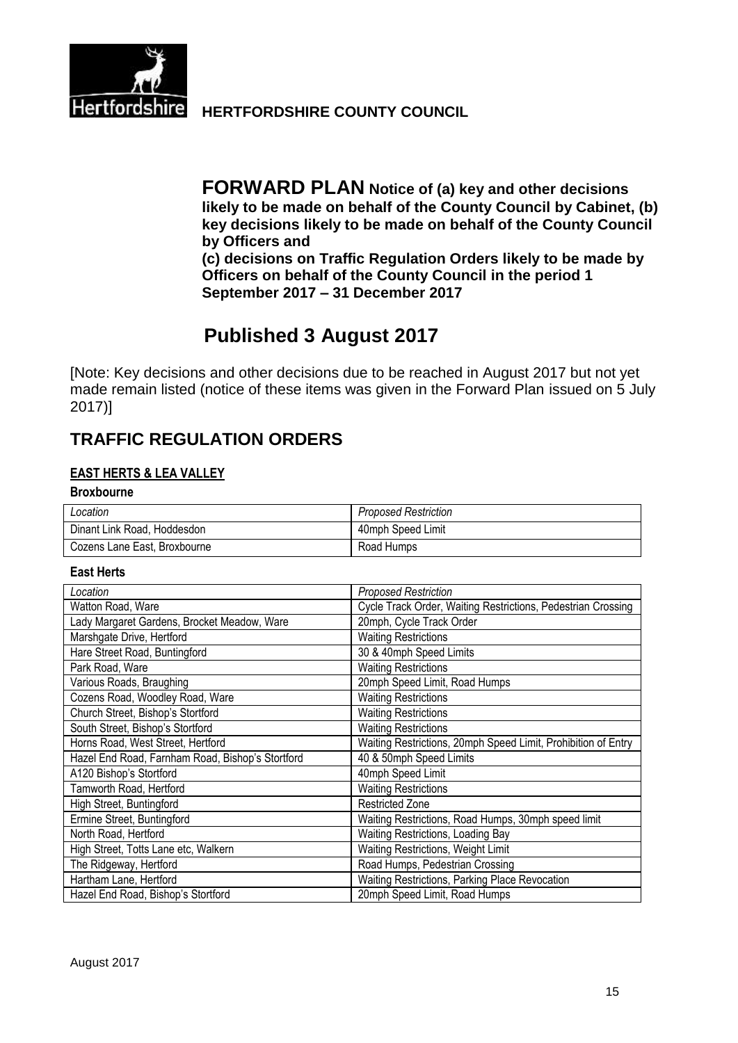

**Hertfordshire HERTFORDSHIRE COUNTY COUNCIL** 

**FORWARD PLAN Notice of (a) key and other decisions likely to be made on behalf of the County Council by Cabinet, (b) key decisions likely to be made on behalf of the County Council by Officers and (c) decisions on Traffic Regulation Orders likely to be made by Officers on behalf of the County Council in the period 1 September 2017 – 31 December 2017**

# **Published 3 August 2017**

[Note: Key decisions and other decisions due to be reached in August 2017 but not yet made remain listed (notice of these items was given in the Forward Plan issued on 5 July 2017)]

# **TRAFFIC REGULATION ORDERS**

## **EAST HERTS & LEA VALLEY**

#### **Broxbourne**

| Location                     | Proposed Restriction |
|------------------------------|----------------------|
| Dinant Link Road, Hoddesdon  | 40mph Speed Limit    |
| Cozens Lane East, Broxbourne | Road Humps           |

#### **East Herts**

| Location                                         | <b>Proposed Restriction</b>                                   |
|--------------------------------------------------|---------------------------------------------------------------|
| Watton Road, Ware                                | Cycle Track Order, Waiting Restrictions, Pedestrian Crossing  |
| Lady Margaret Gardens, Brocket Meadow, Ware      | 20mph, Cycle Track Order                                      |
| Marshgate Drive, Hertford                        | <b>Waiting Restrictions</b>                                   |
| Hare Street Road, Buntingford                    | 30 & 40mph Speed Limits                                       |
| Park Road, Ware                                  | <b>Waiting Restrictions</b>                                   |
| Various Roads, Braughing                         | 20mph Speed Limit, Road Humps                                 |
| Cozens Road, Woodley Road, Ware                  | <b>Waiting Restrictions</b>                                   |
| Church Street, Bishop's Stortford                | <b>Waiting Restrictions</b>                                   |
| South Street, Bishop's Stortford                 | <b>Waiting Restrictions</b>                                   |
| Horns Road, West Street, Hertford                | Waiting Restrictions, 20mph Speed Limit, Prohibition of Entry |
| Hazel End Road, Farnham Road, Bishop's Stortford | 40 & 50mph Speed Limits                                       |
| A120 Bishop's Stortford                          | 40mph Speed Limit                                             |
| Tamworth Road, Hertford                          | <b>Waiting Restrictions</b>                                   |
| High Street, Buntingford                         | <b>Restricted Zone</b>                                        |
| Ermine Street, Buntingford                       | Waiting Restrictions, Road Humps, 30mph speed limit           |
| North Road, Hertford                             | Waiting Restrictions, Loading Bay                             |
| High Street, Totts Lane etc, Walkern             | Waiting Restrictions, Weight Limit                            |
| The Ridgeway, Hertford                           | Road Humps, Pedestrian Crossing                               |
| Hartham Lane, Hertford                           | Waiting Restrictions, Parking Place Revocation                |
| Hazel End Road, Bishop's Stortford               | 20mph Speed Limit, Road Humps                                 |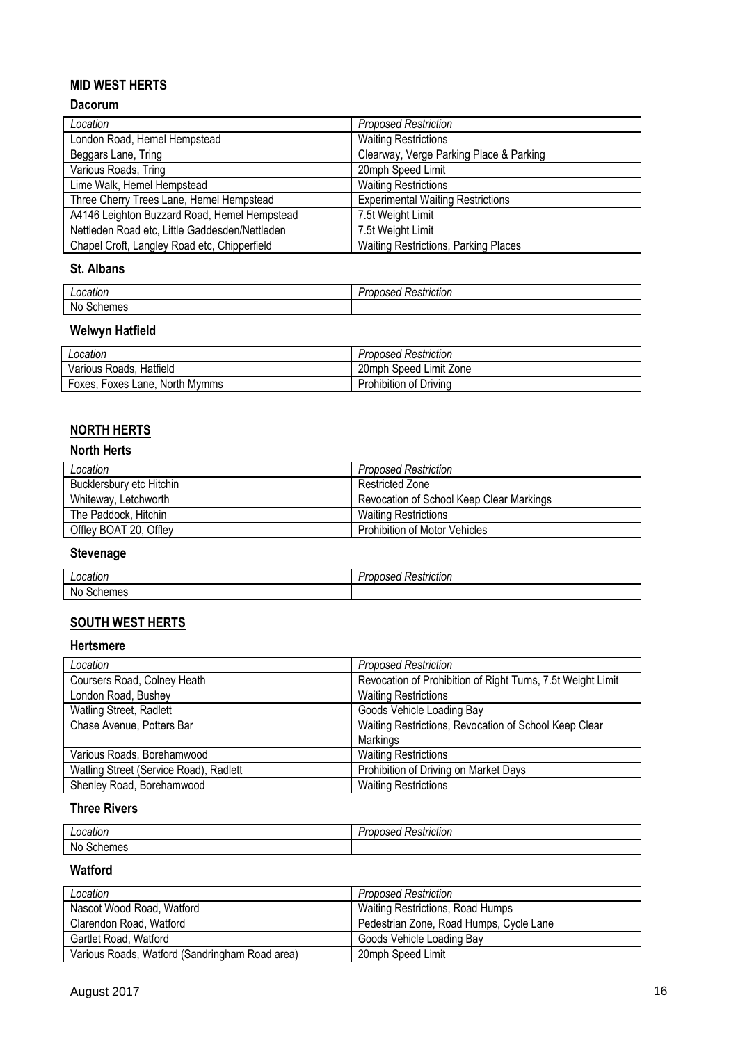# **MID WEST HERTS**

# **Dacorum**

| Location                                       | <b>Proposed Restriction</b>                 |
|------------------------------------------------|---------------------------------------------|
| London Road, Hemel Hempstead                   | <b>Waiting Restrictions</b>                 |
| Beggars Lane, Tring                            | Clearway, Verge Parking Place & Parking     |
| Various Roads, Tring                           | 20mph Speed Limit                           |
| Lime Walk, Hemel Hempstead                     | <b>Waiting Restrictions</b>                 |
| Three Cherry Trees Lane, Hemel Hempstead       | <b>Experimental Waiting Restrictions</b>    |
| A4146 Leighton Buzzard Road, Hemel Hempstead   | 7.5t Weight Limit                           |
| Nettleden Road etc, Little Gaddesden/Nettleden | 7.5t Weight Limit                           |
| Chapel Croft, Langley Road etc, Chipperfield   | <b>Waiting Restrictions, Parking Places</b> |

#### **St. Albans**

|                       | striction! |
|-----------------------|------------|
| nratinn               | 1551       |
| cation                |            |
|                       | .          |
| N<br>er<br>ור<br>- סו |            |

# **Welwyn Hatfield**

| Location                       | <b>Proposed Restriction</b> |
|--------------------------------|-----------------------------|
| Various Roads, Hatfield        | 20mph Speed Limit Zone      |
| Foxes, Foxes Lane, North Mymms | Prohibition of Driving      |

# **NORTH HERTS**

#### **North Herts**

| Location                 | <b>Proposed Restriction</b>              |
|--------------------------|------------------------------------------|
| Bucklersbury etc Hitchin | Restricted Zone                          |
| Whiteway, Letchworth     | Revocation of School Keep Clear Markings |
| The Paddock, Hitchin     | <b>Waiting Restrictions</b>              |
| Offley BOAT 20, Offley   | <b>Prohibition of Motor Vehicles</b>     |

# **Stevenage**

| - - - - - - -<br>ocation. | $\sim$<br><b>STATE</b><br>$\cdot$<br>⊀estrıctıon<br>1.5H<br>-1 |
|---------------------------|----------------------------------------------------------------|
| No<br>emes<br>יפו.        |                                                                |

# **SOUTH WEST HERTS**

## **Hertsmere**

| Location                               | <b>Proposed Restriction</b>                                 |
|----------------------------------------|-------------------------------------------------------------|
| Coursers Road, Colney Heath            | Revocation of Prohibition of Right Turns, 7.5t Weight Limit |
| London Road, Bushey                    | <b>Waiting Restrictions</b>                                 |
| Watling Street, Radlett                | Goods Vehicle Loading Bay                                   |
| Chase Avenue, Potters Bar              | Waiting Restrictions, Revocation of School Keep Clear       |
|                                        | Markings                                                    |
| Various Roads, Borehamwood             | <b>Waiting Restrictions</b>                                 |
| Watling Street (Service Road), Radlett | Prohibition of Driving on Market Days                       |
| Shenley Road, Borehamwood              | <b>Waiting Restrictions</b>                                 |

# **Three Rivers**

| аног<br>–∽<br>.       | $\cdot$<br>estriction<br>,,,,<br><b>600</b><br><br>. |
|-----------------------|------------------------------------------------------|
| No<br>m<br>าег<br>162 |                                                      |

### **Watford**

| Location                                       | <b>Proposed Restriction</b>             |
|------------------------------------------------|-----------------------------------------|
| Nascot Wood Road, Watford                      | Waiting Restrictions, Road Humps        |
| Clarendon Road, Watford                        | Pedestrian Zone, Road Humps, Cycle Lane |
| Gartlet Road, Watford                          | Goods Vehicle Loading Bay               |
| Various Roads, Watford (Sandringham Road area) | 20mph Speed Limit                       |